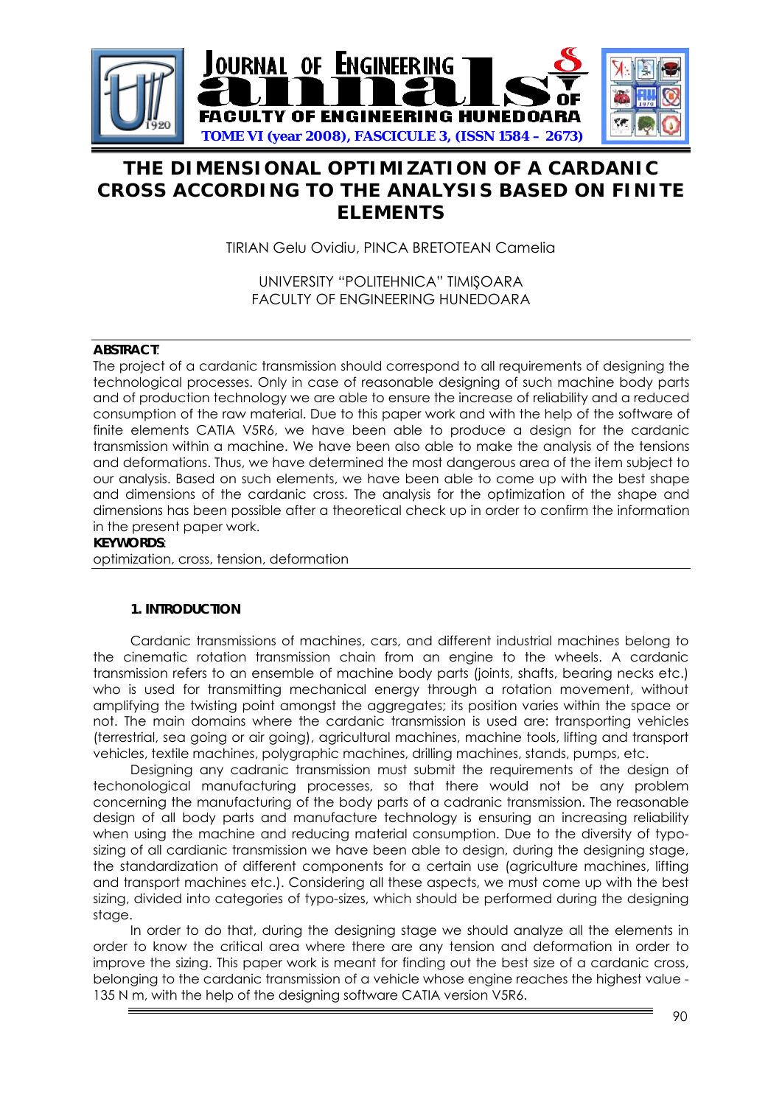

# **THE DIMENSIONAL OPTIMIZATION OF A CARDANIC CROSS ACCORDING TO THE ANALYSIS BASED ON FINITE ELEMENTS**

TIRIAN Gelu Ovidiu, PINCA BRETOTEAN Camelia

UNIVERSITY "POLITEHNICA" TIMIŞOARA FACULTY OF ENGINEERING HUNEDOARA

# **ABSTRACT**:

The project of a cardanic transmission should correspond to all requirements of designing the technological processes. Only in case of reasonable designing of such machine body parts and of production technology we are able to ensure the increase of reliability and a reduced consumption of the raw material. Due to this paper work and with the help of the software of finite elements CATIA V5R6, we have been able to produce a design for the cardanic transmission within a machine. We have been also able to make the analysis of the tensions and deformations. Thus, we have determined the most dangerous area of the item subject to our analysis. Based on such elements, we have been able to come up with the best shape and dimensions of the cardanic cross. The analysis for the optimization of the shape and dimensions has been possible after a theoretical check up in order to confirm the information in the present paper work.

#### **KEYWORDS**:

optimization, cross, tension, deformation

#### **1. INTRODUCTION**

Cardanic transmissions of machines, cars, and different industrial machines belong to the cinematic rotation transmission chain from an engine to the wheels. A cardanic transmission refers to an ensemble of machine body parts (joints, shafts, bearing necks etc.) who is used for transmitting mechanical energy through a rotation movement, without amplifying the twisting point amongst the aggregates; its position varies within the space or not. The main domains where the cardanic transmission is used are: transporting vehicles (terrestrial, sea going or air going), agricultural machines, machine tools, lifting and transport vehicles, textile machines, polygraphic machines, drilling machines, stands, pumps, etc.

Designing any cadranic transmission must submit the requirements of the design of techonological manufacturing processes, so that there would not be any problem concerning the manufacturing of the body parts of a cadranic transmission. The reasonable design of all body parts and manufacture technology is ensuring an increasing reliability when using the machine and reducing material consumption. Due to the diversity of typosizing of all cardianic transmission we have been able to design, during the designing stage, the standardization of different components for a certain use (agriculture machines, lifting and transport machines etc.). Considering all these aspects, we must come up with the best sizing, divided into categories of typo-sizes, which should be performed during the designing stage.

In order to do that, during the designing stage we should analyze all the elements in order to know the critical area where there are any tension and deformation in order to improve the sizing. This paper work is meant for finding out the best size of a cardanic cross, belonging to the cardanic transmission of a vehicle whose engine reaches the highest value - 135 N m, with the help of the designing software CATIA version V5R6.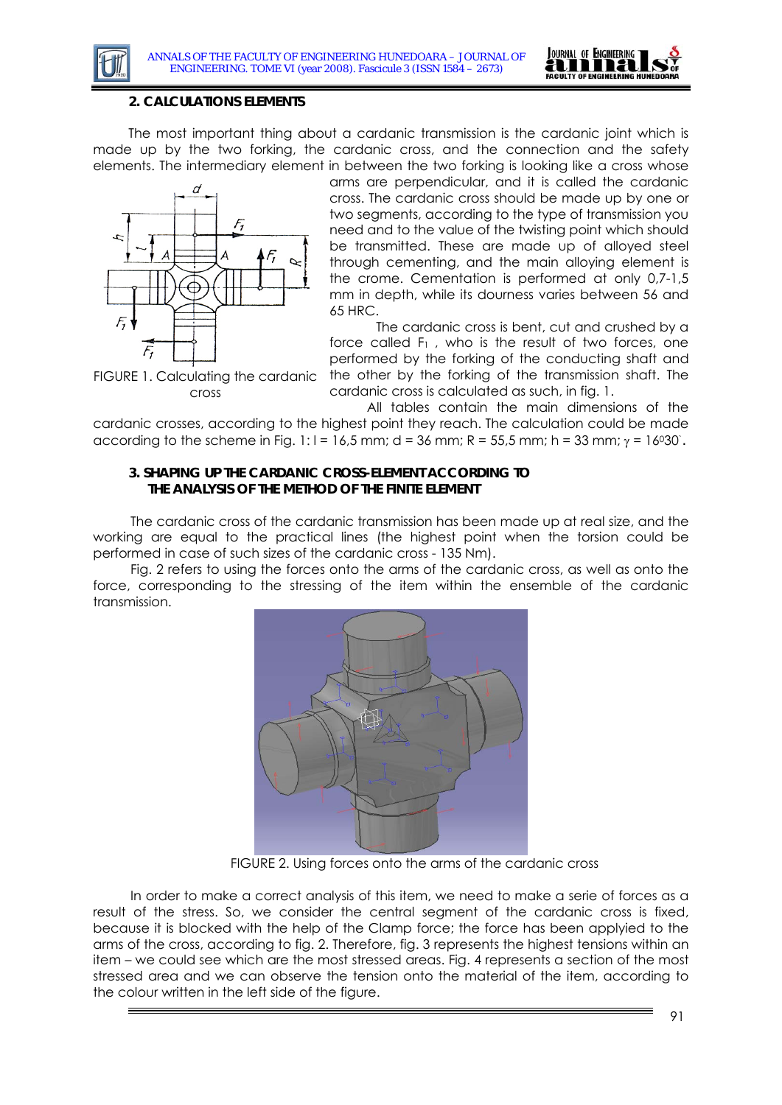



## **2. CALCULATIONS ELEMENTS**

The most important thing about a cardanic transmission is the cardanic joint which is made up by the two forking, the cardanic cross, and the connection and the safety elements. The intermediary element in between the two forking is looking like a cross whose



arms are perpendicular, and it is called the cardanic cross. The cardanic cross should be made up by one or two segments, according to the type of transmission you need and to the value of the twisting point which should be transmitted. These are made up of alloyed steel through cementing, and the main alloying element is the crome. Cementation is performed at only 0,7-1,5 mm in depth, while its dourness varies between 56 and 65 HRC.

The cardanic cross is bent, cut and crushed by a force called  $F_1$ , who is the result of two forces, one performed by the forking of the conducting shaft and FIGURE 1. Calculating the cardanic the other by the forking of the transmission shaft. The cardanic cross is calculated as such, in fig. 1.

cross

All tables contain the main dimensions of the cardanic crosses, according to the highest point they reach. The calculation could be made

## **3. SHAPING UP THE CARDANIC CROSS-ELEMENT ACCORDING TO THE ANALYSIS OF THE METHOD OF THE FINITE ELEMENT**

The cardanic cross of the cardanic transmission has been made up at real size, and the working are equal to the practical lines (the highest point when the torsion could be performed in case of such sizes of the cardanic cross - 135 Nm).

according to the scheme in Fig. 1: l = 16,5 mm; d = 36 mm; R = 55,5 mm; h = 33 mm;  $\gamma$  = 16030.

Fig. 2 refers to using the forces onto the arms of the cardanic cross, as well as onto the force, corresponding to the stressing of the item within the ensemble of the cardanic transmission.



FIGURE 2. Using forces onto the arms of the cardanic cross

In order to make a correct analysis of this item, we need to make a serie of forces as a result of the stress. So, we consider the central segment of the cardanic cross is fixed, because it is blocked with the help of the Clamp force; the force has been applyied to the arms of the cross, according to fig. 2. Therefore, fig. 3 represents the highest tensions within an item – we could see which are the most stressed areas. Fig. 4 represents a section of the most stressed area and we can observe the tension onto the material of the item, according to the colour written in the left side of the figure.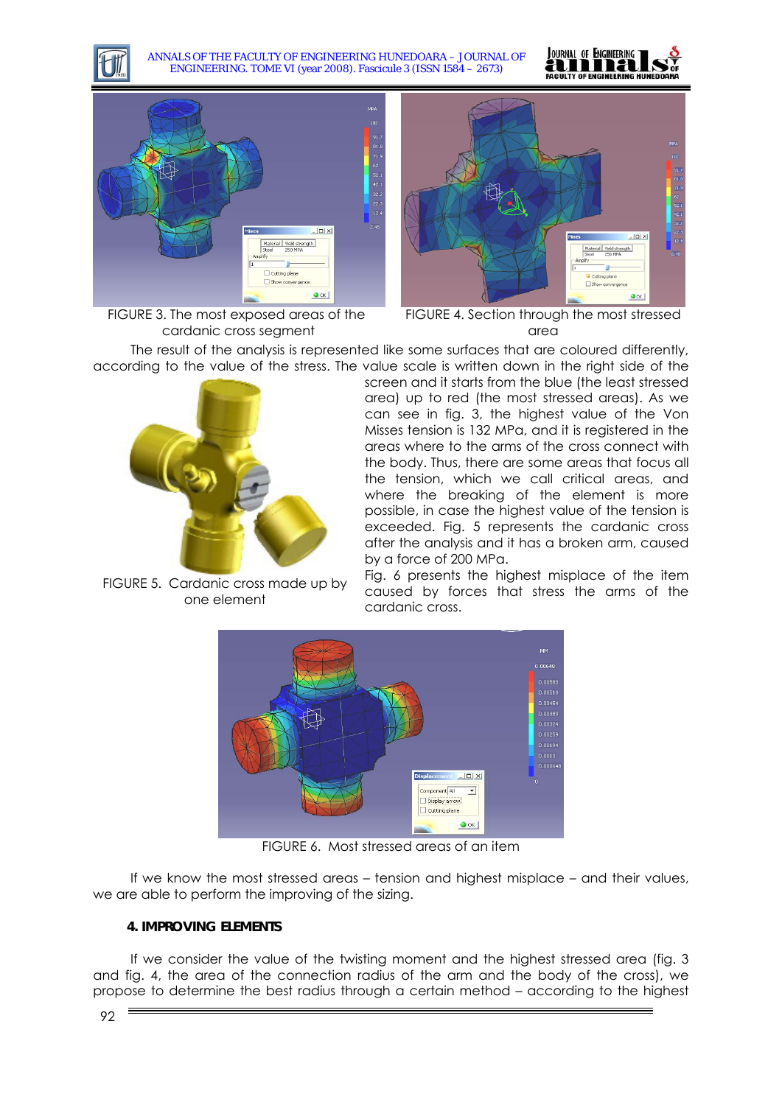ANNALS OF THE FACULTY OF ENGINEERING HUNEDOARA – JOURNAL OF ENGINEERING. TOME VI (year 2008). Fascicule 3 (ISSN 1584 – 2673)



 $\Box$ 

Material | Yield strength



FIGURE 3. The most exposed areas of the cardanic cross segment



area

The result of the analysis is represented like some surfaces that are coloured differently, according to the value of the stress. The value scale is written down in the right side of the



FIGURE 5. Cardanic cross made up by one element

screen and it starts from the blue (the least stressed area) up to red (the most stressed areas). As we can see in fig. 3, the highest value of the Von Misses tension is 132 MPa, and it is registered in the areas where to the arms of the cross connect with the body. Thus, there are some areas that focus all the tension, which we call critical areas, and where the breaking of the element is more possible, in case the highest value of the tension is exceeded. Fig. 5 represents the cardanic cross after the analysis and it has a broken arm, caused by a force of 200 MPa.

Fig. 6 presents the highest misplace of the item caused by forces that stress the arms of the cardanic cross.



FIGURE 6. Most stressed areas of an item

If we know the most stressed areas – tension and highest misplace – and their values, we are able to perform the improving of the sizing.

## **4. IMPROVING ELEMENTS**

If we consider the value of the twisting moment and the highest stressed area (fig. 3 and fig. 4, the area of the connection radius of the arm and the body of the cross), we propose to determine the best radius through a certain method – according to the highest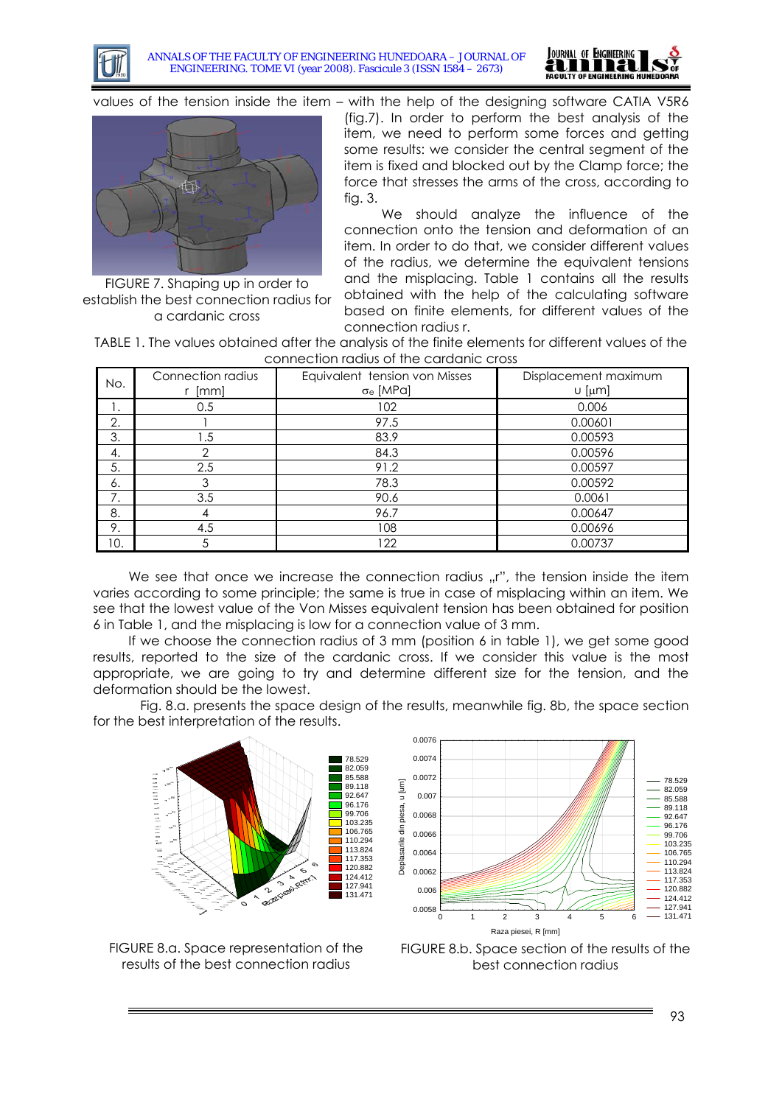

ANNALS OF THE FACULTY OF ENGINEERING HUNEDOARA – JOURNAL OF ENGINEERING. TOME VI (year 2008). Fascicule 3 (ISSN 1584 – 2673)





FIGURE 7. Shaping up in order to establish the best connection radius for a cardanic cross

values of the tension inside the item – with the help of the designing software CATIA V5R6 (fig.7). In order to perform the best analysis of the item, we need to perform some forces and getting some results: we consider the central segment of the item is fixed and blocked out by the Clamp force; the force that stresses the arms of the cross, according to fig. 3.

> We should analyze the influence of the connection onto the tension and deformation of an item. In order to do that, we consider different values of the radius, we determine the equivalent tensions and the misplacing. Table 1 contains all the results obtained with the help of the calculating software based on finite elements, for different values of the connection radius r.

TABLE 1. The values obtained after the analysis of the finite elements for different values of the connection radius of the cardanic cross

| No. | Connection radius<br>[mm] | Equivalent tension von Misses<br>$\sigma_e$ [MPa] | Displacement maximum<br>$U$ [µm] |
|-----|---------------------------|---------------------------------------------------|----------------------------------|
| ι.  | 0.5                       | 102                                               | 0.006                            |
| 2.  |                           | 97.5                                              | 0.00601                          |
| 3.  | 1.5                       | 83.9                                              | 0.00593                          |
| 4.  |                           | 84.3                                              | 0.00596                          |
| 5.  | 2.5                       | 91.2                                              | 0.00597                          |
| 6.  |                           | 78.3                                              | 0.00592                          |
| 7.  | 3.5                       | 90.6                                              | 0.0061                           |
| 8.  |                           | 96.7                                              | 0.00647                          |
| 9.  | 4.5                       | 108                                               | 0.00696                          |
| 10. | 5                         | 122                                               | 0.00737                          |

We see that once we increase the connection radius "r", the tension inside the item varies according to some principle; the same is true in case of misplacing within an item. We see that the lowest value of the Von Misses equivalent tension has been obtained for position 6 in Table 1, and the misplacing is low for a connection value of 3 mm.

If we choose the connection radius of 3 mm (position 6 in table 1), we get some good results, reported to the size of the cardanic cross. If we consider this value is the most appropriate, we are going to try and determine different size for the tension, and the deformation should be the lowest.

 Fig. 8.a. presents the space design of the results, meanwhile fig. 8b, the space section for the best interpretation of the results.





FIGURE 8.a. Space representation of the results of the best connection radius